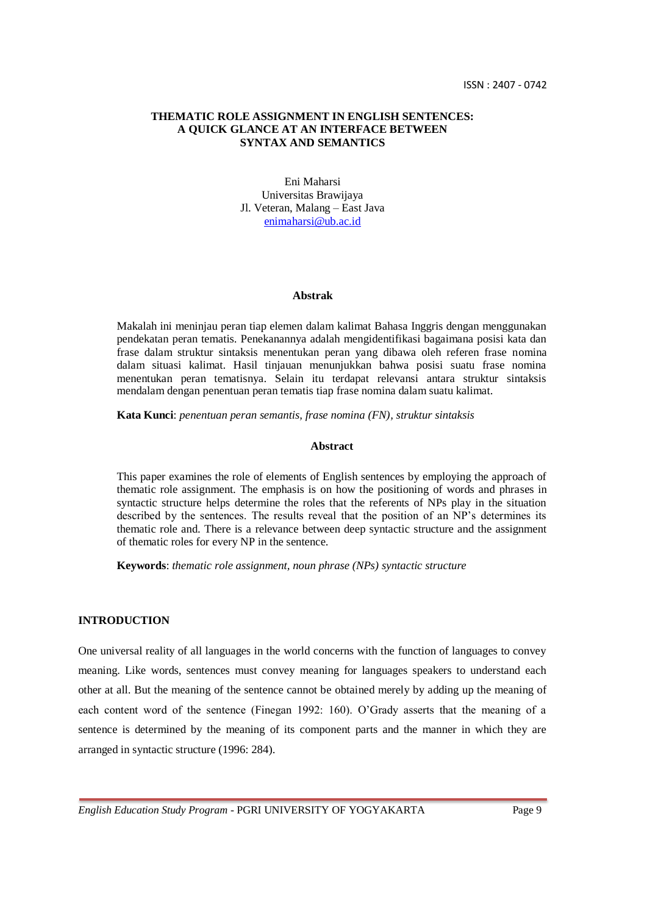## **THEMATIC ROLE ASSIGNMENT IN ENGLISH SENTENCES: A QUICK GLANCE AT AN INTERFACE BETWEEN SYNTAX AND SEMANTICS**

Eni Maharsi Universitas Brawijaya Jl. Veteran, Malang – East Java [enimaharsi@ub.ac.id](mailto:enimaharsi@ub.ac.id)

#### **Abstrak**

Makalah ini meninjau peran tiap elemen dalam kalimat Bahasa Inggris dengan menggunakan pendekatan peran tematis. Penekanannya adalah mengidentifikasi bagaimana posisi kata dan frase dalam struktur sintaksis menentukan peran yang dibawa oleh referen frase nomina dalam situasi kalimat. Hasil tinjauan menunjukkan bahwa posisi suatu frase nomina menentukan peran tematisnya. Selain itu terdapat relevansi antara struktur sintaksis mendalam dengan penentuan peran tematis tiap frase nomina dalam suatu kalimat.

**Kata Kunci**: *penentuan peran semantis, frase nomina (FN), struktur sintaksis*

# **Abstract**

This paper examines the role of elements of English sentences by employing the approach of thematic role assignment. The emphasis is on how the positioning of words and phrases in syntactic structure helps determine the roles that the referents of NPs play in the situation described by the sentences. The results reveal that the position of an NP"s determines its thematic role and. There is a relevance between deep syntactic structure and the assignment of thematic roles for every NP in the sentence.

**Keywords**: *thematic role assignment, noun phrase (NPs) syntactic structure* 

# **INTRODUCTION**

One universal reality of all languages in the world concerns with the function of languages to convey meaning. Like words, sentences must convey meaning for languages speakers to understand each other at all. But the meaning of the sentence cannot be obtained merely by adding up the meaning of each content word of the sentence (Finegan 1992: 160). O"Grady asserts that the meaning of a sentence is determined by the meaning of its component parts and the manner in which they are arranged in syntactic structure (1996: 284).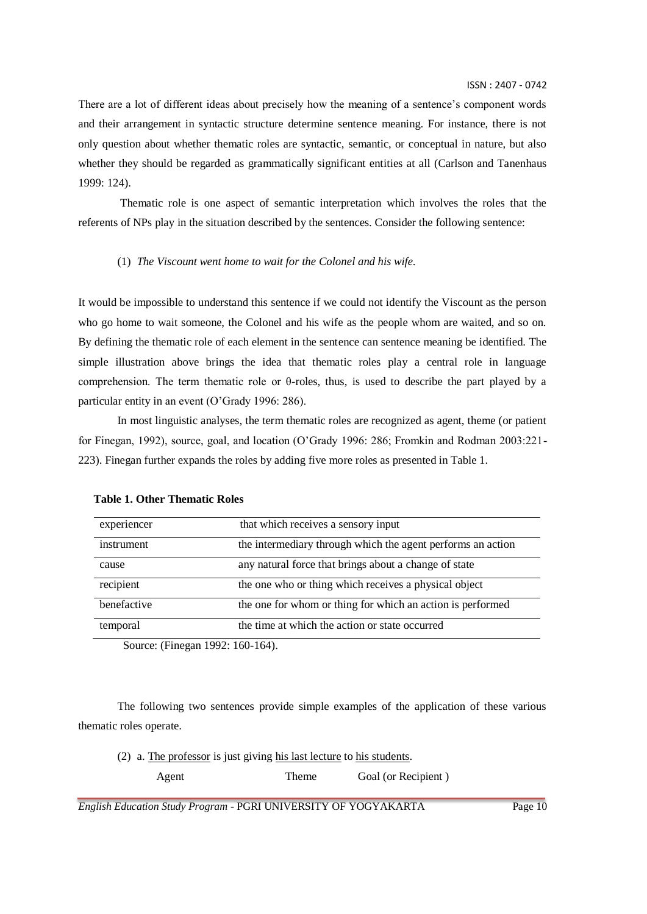ISSN : 2407 - 0742

There are a lot of different ideas about precisely how the meaning of a sentence's component words and their arrangement in syntactic structure determine sentence meaning. For instance, there is not only question about whether thematic roles are syntactic, semantic, or conceptual in nature, but also whether they should be regarded as grammatically significant entities at all (Carlson and Tanenhaus 1999: 124).

Thematic role is one aspect of semantic interpretation which involves the roles that the referents of NPs play in the situation described by the sentences. Consider the following sentence:

### (1) *The Viscount went home to wait for the Colonel and his wife.*

It would be impossible to understand this sentence if we could not identify the Viscount as the person who go home to wait someone, the Colonel and his wife as the people whom are waited, and so on. By defining the thematic role of each element in the sentence can sentence meaning be identified. The simple illustration above brings the idea that thematic roles play a central role in language comprehension. The term thematic role or θ-roles, thus, is used to describe the part played by a particular entity in an event (O"Grady 1996: 286).

In most linguistic analyses, the term thematic roles are recognized as agent, theme (or patient for Finegan, 1992), source, goal, and location (O"Grady 1996: 286; Fromkin and Rodman 2003:221- 223). Finegan further expands the roles by adding five more roles as presented in Table 1.

| experiencer          | that which receives a sensory input                         |
|----------------------|-------------------------------------------------------------|
| instrument           | the intermediary through which the agent performs an action |
| cause                | any natural force that brings about a change of state       |
| recipient            | the one who or thing which receives a physical object       |
| benefactive          | the one for whom or thing for which an action is performed  |
| temporal             | the time at which the action or state occurred              |
| $\sqrt{1}$<br>$\sim$ | $1000 - 150 + 51$                                           |

## **Table 1. Other Thematic Roles**

Source: (Finegan 1992: 160-164).

The following two sentences provide simple examples of the application of these various thematic roles operate.

(2) a. The professor is just giving his last lecture to his students.

Agent Theme Goal (or Recipient )

*English Education Study Program* - PGRI UNIVERSITY OF YOGYAKARTA Page 10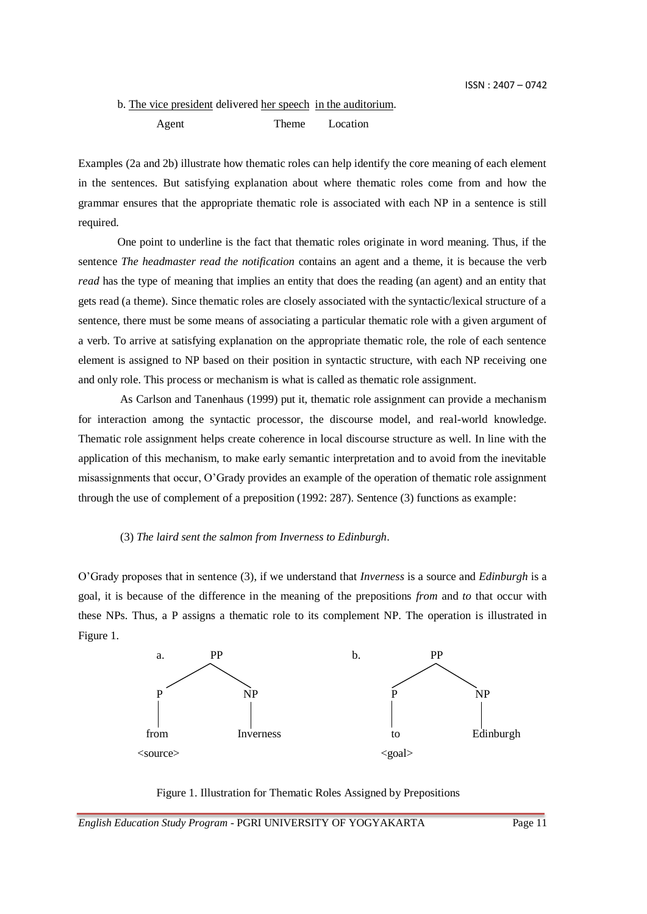# b. The vice president delivered her speech in the auditorium. Agent Theme Location

Examples (2a and 2b) illustrate how thematic roles can help identify the core meaning of each element in the sentences. But satisfying explanation about where thematic roles come from and how the grammar ensures that the appropriate thematic role is associated with each NP in a sentence is still required.

One point to underline is the fact that thematic roles originate in word meaning. Thus, if the sentence *The headmaster read the notification* contains an agent and a theme, it is because the verb *read* has the type of meaning that implies an entity that does the reading (an agent) and an entity that gets read (a theme). Since thematic roles are closely associated with the syntactic/lexical structure of a sentence, there must be some means of associating a particular thematic role with a given argument of a verb. To arrive at satisfying explanation on the appropriate thematic role, the role of each sentence element is assigned to NP based on their position in syntactic structure, with each NP receiving one and only role. This process or mechanism is what is called as thematic role assignment.

As Carlson and Tanenhaus (1999) put it, thematic role assignment can provide a mechanism for interaction among the syntactic processor, the discourse model, and real-world knowledge. Thematic role assignment helps create coherence in local discourse structure as well. In line with the application of this mechanism, to make early semantic interpretation and to avoid from the inevitable misassignments that occur, O"Grady provides an example of the operation of thematic role assignment through the use of complement of a preposition (1992: 287). Sentence (3) functions as example:

## (3) *The laird sent the salmon from Inverness to Edinburgh*.

O"Grady proposes that in sentence (3), if we understand that *Inverness* is a source and *Edinburgh* is a goal, it is because of the difference in the meaning of the prepositions *from* and *to* that occur with these NPs. Thus, a P assigns a thematic role to its complement NP. The operation is illustrated in Figure 1.



Figure 1. Illustration for Thematic Roles Assigned by Prepositions

*English Education Study Program* - PGRI UNIVERSITY OF YOGYAKARTA Page 11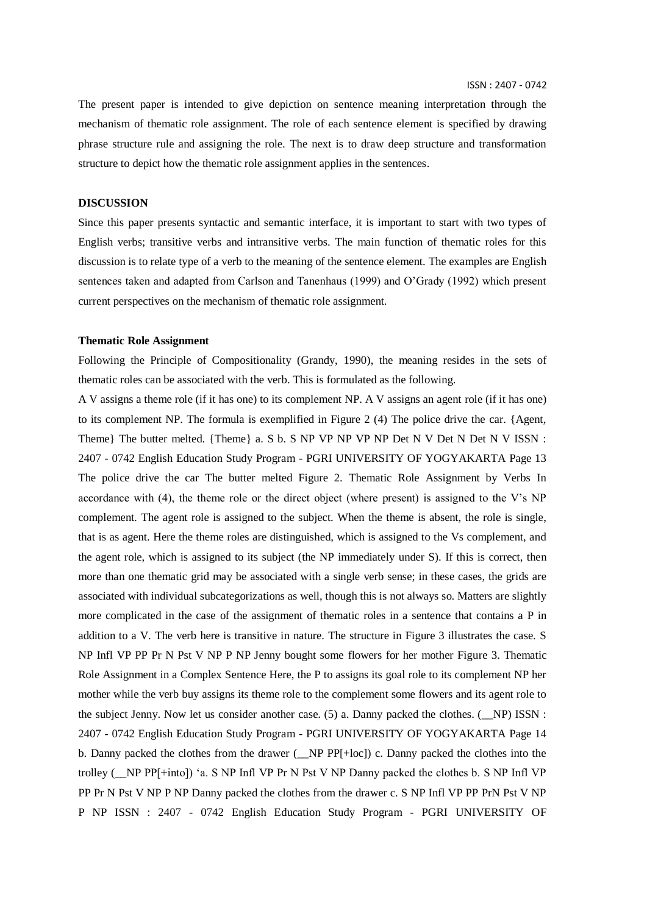ISSN : 2407 - 0742

The present paper is intended to give depiction on sentence meaning interpretation through the mechanism of thematic role assignment. The role of each sentence element is specified by drawing phrase structure rule and assigning the role. The next is to draw deep structure and transformation structure to depict how the thematic role assignment applies in the sentences.

### **DISCUSSION**

Since this paper presents syntactic and semantic interface, it is important to start with two types of English verbs; transitive verbs and intransitive verbs. The main function of thematic roles for this discussion is to relate type of a verb to the meaning of the sentence element. The examples are English sentences taken and adapted from Carlson and Tanenhaus (1999) and O"Grady (1992) which present current perspectives on the mechanism of thematic role assignment.

### **Thematic Role Assignment**

Following the Principle of Compositionality (Grandy, 1990), the meaning resides in the sets of thematic roles can be associated with the verb. This is formulated as the following.

A V assigns a theme role (if it has one) to its complement NP. A V assigns an agent role (if it has one) to its complement NP. The formula is exemplified in Figure 2 (4) The police drive the car. {Agent, Theme} The butter melted. {Theme} a. S b. S NP VP NP VP NP Det N V Det N Det N V ISSN : 2407 - 0742 English Education Study Program - PGRI UNIVERSITY OF YOGYAKARTA Page 13 The police drive the car The butter melted Figure 2. Thematic Role Assignment by Verbs In accordance with  $(4)$ , the theme role or the direct object (where present) is assigned to the V's NP complement. The agent role is assigned to the subject. When the theme is absent, the role is single, that is as agent. Here the theme roles are distinguished, which is assigned to the Vs complement, and the agent role, which is assigned to its subject (the NP immediately under S). If this is correct, then more than one thematic grid may be associated with a single verb sense; in these cases, the grids are associated with individual subcategorizations as well, though this is not always so. Matters are slightly more complicated in the case of the assignment of thematic roles in a sentence that contains a P in addition to a V. The verb here is transitive in nature. The structure in Figure 3 illustrates the case. S NP Infl VP PP Pr N Pst V NP P NP Jenny bought some flowers for her mother Figure 3. Thematic Role Assignment in a Complex Sentence Here, the P to assigns its goal role to its complement NP her mother while the verb buy assigns its theme role to the complement some flowers and its agent role to the subject Jenny. Now let us consider another case. (5) a. Danny packed the clothes. (\_\_NP) ISSN : 2407 - 0742 English Education Study Program - PGRI UNIVERSITY OF YOGYAKARTA Page 14 b. Danny packed the clothes from the drawer (NP PP[+loc]) c. Danny packed the clothes into the trolley (\_\_NP PP[+into]) "a. S NP Infl VP Pr N Pst V NP Danny packed the clothes b. S NP Infl VP PP Pr N Pst V NP P NP Danny packed the clothes from the drawer c. S NP Infl VP PP PrN Pst V NP P NP ISSN : 2407 - 0742 English Education Study Program - PGRI UNIVERSITY OF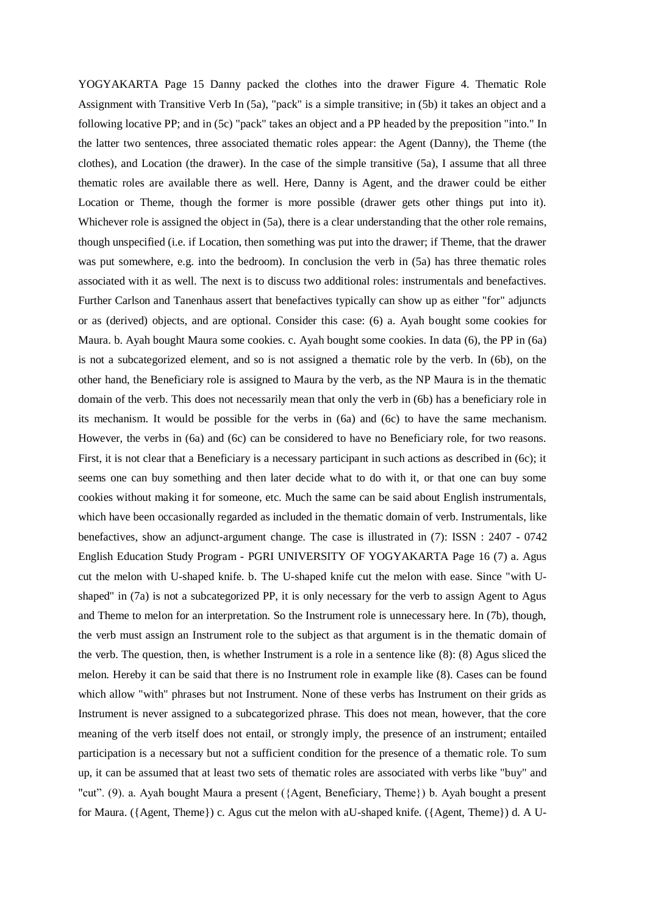YOGYAKARTA Page 15 Danny packed the clothes into the drawer Figure 4. Thematic Role Assignment with Transitive Verb In (5a), "pack" is a simple transitive; in (5b) it takes an object and a following locative PP; and in (5c) "pack" takes an object and a PP headed by the preposition "into." In the latter two sentences, three associated thematic roles appear: the Agent (Danny), the Theme (the clothes), and Location (the drawer). In the case of the simple transitive (5a), I assume that all three thematic roles are available there as well. Here, Danny is Agent, and the drawer could be either Location or Theme, though the former is more possible (drawer gets other things put into it). Whichever role is assigned the object in  $(5a)$ , there is a clear understanding that the other role remains, though unspecified (i.e. if Location, then something was put into the drawer; if Theme, that the drawer was put somewhere, e.g. into the bedroom). In conclusion the verb in  $(5a)$  has three thematic roles associated with it as well. The next is to discuss two additional roles: instrumentals and benefactives. Further Carlson and Tanenhaus assert that benefactives typically can show up as either "for" adjuncts or as (derived) objects, and are optional. Consider this case: (6) a. Ayah bought some cookies for Maura. b. Ayah bought Maura some cookies. c. Ayah bought some cookies. In data (6), the PP in (6a) is not a subcategorized element, and so is not assigned a thematic role by the verb. In (6b), on the other hand, the Beneficiary role is assigned to Maura by the verb, as the NP Maura is in the thematic domain of the verb. This does not necessarily mean that only the verb in (6b) has a beneficiary role in its mechanism. It would be possible for the verbs in (6a) and (6c) to have the same mechanism. However, the verbs in (6a) and (6c) can be considered to have no Beneficiary role, for two reasons. First, it is not clear that a Beneficiary is a necessary participant in such actions as described in (6c); it seems one can buy something and then later decide what to do with it, or that one can buy some cookies without making it for someone, etc. Much the same can be said about English instrumentals, which have been occasionally regarded as included in the thematic domain of verb. Instrumentals, like benefactives, show an adjunct-argument change. The case is illustrated in (7): ISSN : 2407 - 0742 English Education Study Program - PGRI UNIVERSITY OF YOGYAKARTA Page 16 (7) a. Agus cut the melon with U-shaped knife. b. The U-shaped knife cut the melon with ease. Since "with Ushaped" in (7a) is not a subcategorized PP, it is only necessary for the verb to assign Agent to Agus and Theme to melon for an interpretation. So the Instrument role is unnecessary here. In (7b), though, the verb must assign an Instrument role to the subject as that argument is in the thematic domain of the verb. The question, then, is whether Instrument is a role in a sentence like (8): (8) Agus sliced the melon. Hereby it can be said that there is no Instrument role in example like (8). Cases can be found which allow "with" phrases but not Instrument. None of these verbs has Instrument on their grids as Instrument is never assigned to a subcategorized phrase. This does not mean, however, that the core meaning of the verb itself does not entail, or strongly imply, the presence of an instrument; entailed participation is a necessary but not a sufficient condition for the presence of a thematic role. To sum up, it can be assumed that at least two sets of thematic roles are associated with verbs like "buy" and "cut". (9). a. Ayah bought Maura a present ({Agent, Beneficiary, Theme}) b. Ayah bought a present for Maura. ({Agent, Theme}) c. Agus cut the melon with aU-shaped knife. ({Agent, Theme}) d. A U-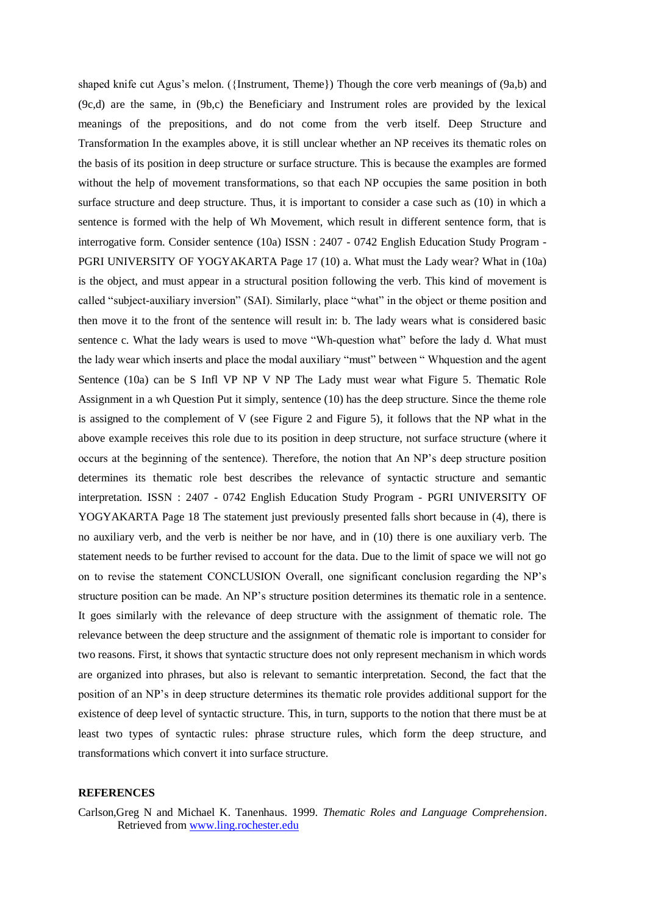shaped knife cut Agus's melon. ({Instrument, Theme}) Though the core verb meanings of  $(9a,b)$  and (9c,d) are the same, in (9b,c) the Beneficiary and Instrument roles are provided by the lexical meanings of the prepositions, and do not come from the verb itself. Deep Structure and Transformation In the examples above, it is still unclear whether an NP receives its thematic roles on the basis of its position in deep structure or surface structure. This is because the examples are formed without the help of movement transformations, so that each NP occupies the same position in both surface structure and deep structure. Thus, it is important to consider a case such as (10) in which a sentence is formed with the help of Wh Movement, which result in different sentence form, that is interrogative form. Consider sentence (10a) ISSN : 2407 - 0742 English Education Study Program - PGRI UNIVERSITY OF YOGYAKARTA Page 17 (10) a. What must the Lady wear? What in (10a) is the object, and must appear in a structural position following the verb. This kind of movement is called "subject-auxiliary inversion" (SAI). Similarly, place "what" in the object or theme position and then move it to the front of the sentence will result in: b. The lady wears what is considered basic sentence c. What the lady wears is used to move "Wh-question what" before the lady d. What must the lady wear which inserts and place the modal auxiliary "must" between " Whquestion and the agent Sentence (10a) can be S Infl VP NP V NP The Lady must wear what Figure 5. Thematic Role Assignment in a wh Question Put it simply, sentence (10) has the deep structure. Since the theme role is assigned to the complement of V (see Figure 2 and Figure 5), it follows that the NP what in the above example receives this role due to its position in deep structure, not surface structure (where it occurs at the beginning of the sentence). Therefore, the notion that An NP"s deep structure position determines its thematic role best describes the relevance of syntactic structure and semantic interpretation. ISSN : 2407 - 0742 English Education Study Program - PGRI UNIVERSITY OF YOGYAKARTA Page 18 The statement just previously presented falls short because in (4), there is no auxiliary verb, and the verb is neither be nor have, and in (10) there is one auxiliary verb. The statement needs to be further revised to account for the data. Due to the limit of space we will not go on to revise the statement CONCLUSION Overall, one significant conclusion regarding the NP"s structure position can be made. An NP"s structure position determines its thematic role in a sentence. It goes similarly with the relevance of deep structure with the assignment of thematic role. The relevance between the deep structure and the assignment of thematic role is important to consider for two reasons. First, it shows that syntactic structure does not only represent mechanism in which words are organized into phrases, but also is relevant to semantic interpretation. Second, the fact that the position of an NP"s in deep structure determines its thematic role provides additional support for the existence of deep level of syntactic structure. This, in turn, supports to the notion that there must be at least two types of syntactic rules: phrase structure rules, which form the deep structure, and transformations which convert it into surface structure.

## **REFERENCES**

Carlson,Greg N and Michael K. Tanenhaus. 1999. *Thematic Roles and Language Comprehension*. Retrieved from [www.ling.rochester.edu](http://www.ling.rochester.edu/)